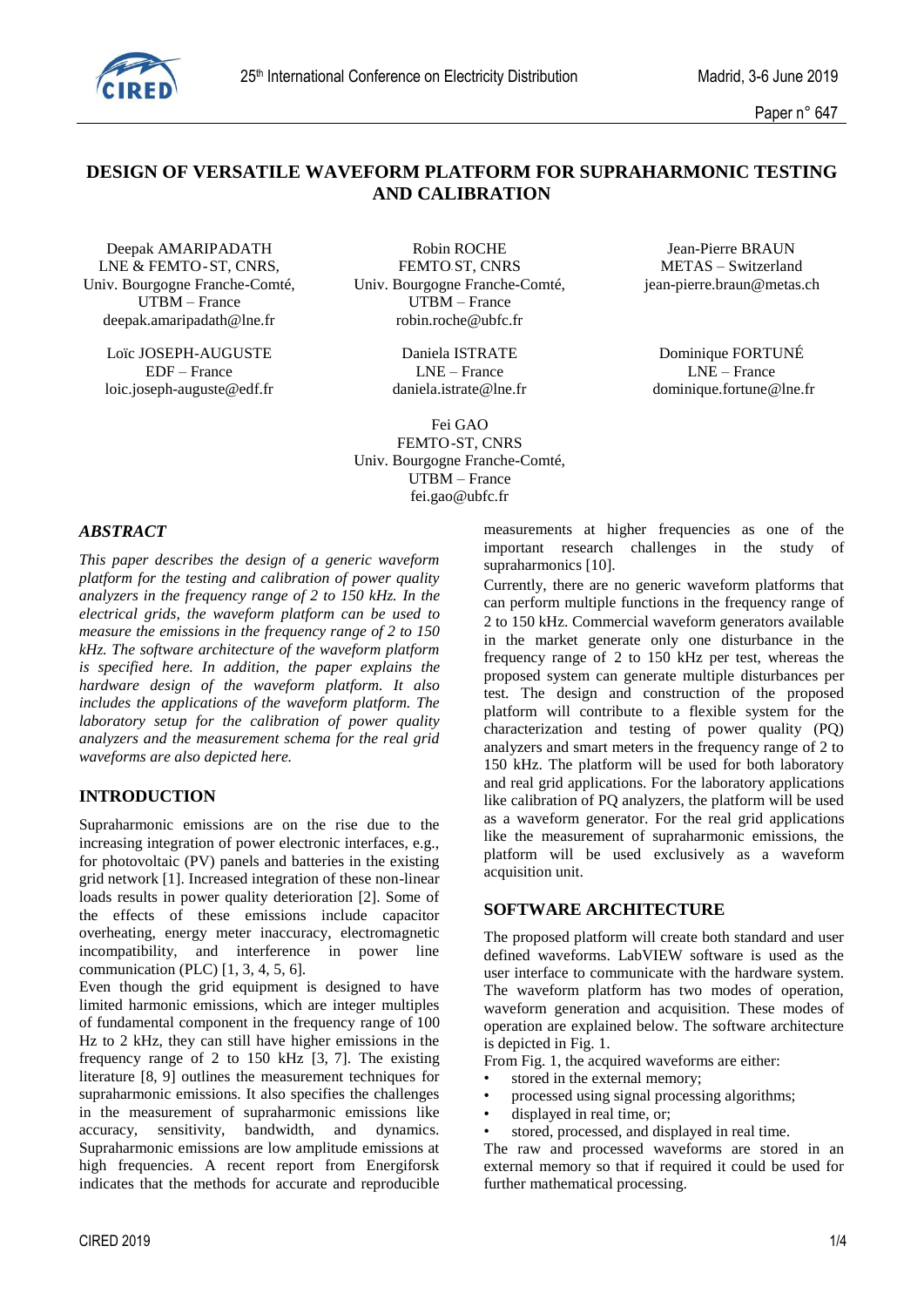

Paper n° 647

# **DESIGN OF VERSATILE WAVEFORM PLATFORM FOR SUPRAHARMONIC TESTING AND CALIBRATION**

Univ. Bourgogne Franche-Comté, Univ. Bourgogne Franche-Comté, jean-pierre.braun@metas.ch  $UTBM - France$ deepak.amaripadath@lne.fr robin.roche@ubfc.fr

Loïc JOSEPH-AUGUSTE Daniela ISTRATE Dominique FORTUNÉ loic.joseph-auguste@edf.fr daniela.istrate@lne.fr dominique.fortune@lne.fr

Deepak AMARIPADATH Robin ROCHE Jean-Pierre BRAUN LNE & FEMTO-ST, CNRS, FEMTO-ST, CNRS METAS – Switzerland

EDF – France LNE – France LNE – France

 Fei GAO FEMTO-ST, CNRS Univ. Bourgogne Franche-Comté, UTBM – France fei.gao@ubfc.fr

#### *ABSTRACT*

*This paper describes the design of a generic waveform platform for the testing and calibration of power quality analyzers in the frequency range of 2 to 150 kHz. In the electrical grids, the waveform platform can be used to measure the emissions in the frequency range of 2 to 150 kHz. The software architecture of the waveform platform is specified here. In addition, the paper explains the hardware design of the waveform platform. It also includes the applications of the waveform platform. The laboratory setup for the calibration of power quality analyzers and the measurement schema for the real grid waveforms are also depicted here.*

## **INTRODUCTION**

Supraharmonic emissions are on the rise due to the increasing integration of power electronic interfaces, e.g., for photovoltaic (PV) panels and batteries in the existing grid network [1]. Increased integration of these non-linear loads results in power quality deterioration [2]. Some of the effects of these emissions include capacitor overheating, energy meter inaccuracy, electromagnetic incompatibility, and interference in power line communication (PLC) [1, 3, 4, 5, 6].

Even though the grid equipment is designed to have limited harmonic emissions, which are integer multiples of fundamental component in the frequency range of 100 Hz to 2 kHz, they can still have higher emissions in the frequency range of 2 to 150 kHz [3, 7]. The existing literature [8, 9] outlines the measurement techniques for supraharmonic emissions. It also specifies the challenges in the measurement of supraharmonic emissions like accuracy, sensitivity, bandwidth, and dynamics. Supraharmonic emissions are low amplitude emissions at high frequencies. A recent report from Energiforsk indicates that the methods for accurate and reproducible measurements at higher frequencies as one of the important research challenges in the study of supraharmonics [10].

Currently, there are no generic waveform platforms that can perform multiple functions in the frequency range of 2 to 150 kHz. Commercial waveform generators available in the market generate only one disturbance in the frequency range of 2 to 150 kHz per test, whereas the proposed system can generate multiple disturbances per test. The design and construction of the proposed platform will contribute to a flexible system for the characterization and testing of power quality (PQ) analyzers and smart meters in the frequency range of 2 to 150 kHz. The platform will be used for both laboratory and real grid applications. For the laboratory applications like calibration of PQ analyzers, the platform will be used as a waveform generator. For the real grid applications like the measurement of supraharmonic emissions, the platform will be used exclusively as a waveform acquisition unit.

#### **SOFTWARE ARCHITECTURE**

The proposed platform will create both standard and user defined waveforms. LabVIEW software is used as the user interface to communicate with the hardware system. The waveform platform has two modes of operation, waveform generation and acquisition. These modes of operation are explained below. The software architecture is depicted in Fig. 1.

From Fig. 1, the acquired waveforms are either:

- stored in the external memory;
- processed using signal processing algorithms;
- displayed in real time, or:
- stored, processed, and displayed in real time.

The raw and processed waveforms are stored in an external memory so that if required it could be used for further mathematical processing.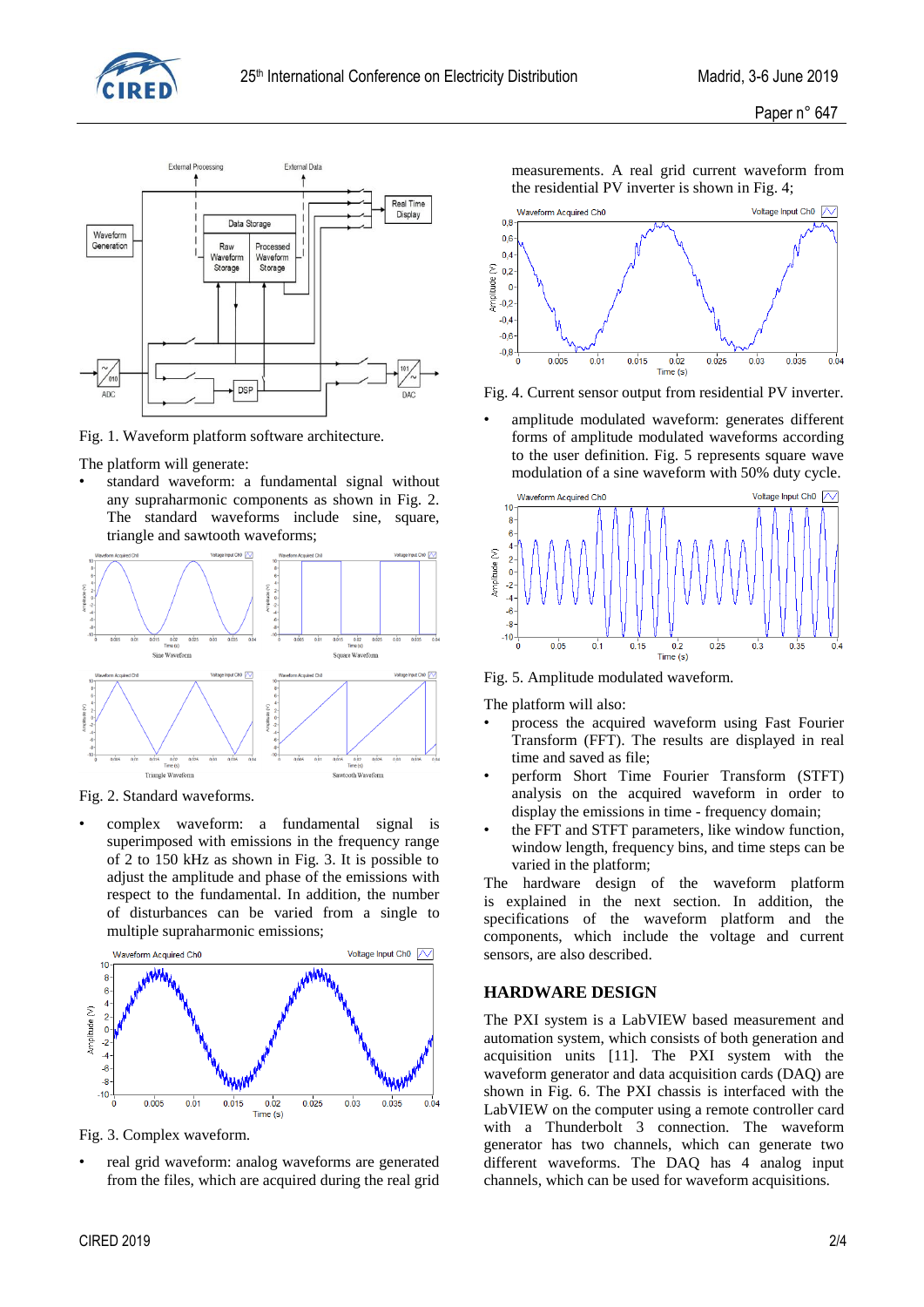



Fig. 1. Waveform platform software architecture.

The platform will generate:

• standard waveform: a fundamental signal without any supraharmonic components as shown in Fig. 2. The standard waveforms include sine, square, triangle and sawtooth waveforms;



Fig. 2. Standard waveforms.

• complex waveform: a fundamental signal is superimposed with emissions in the frequency range of 2 to 150 kHz as shown in Fig. 3. It is possible to adjust the amplitude and phase of the emissions with respect to the fundamental. In addition, the number of disturbances can be varied from a single to multiple supraharmonic emissions;



Fig. 3. Complex waveform.

real grid waveform: analog waveforms are generated from the files, which are acquired during the real grid measurements. A real grid current waveform from the residential PV inverter is shown in Fig. 4;



Fig. 4. Current sensor output from residential PV inverter.

amplitude modulated waveform: generates different forms of amplitude modulated waveforms according to the user definition. Fig. 5 represents square wave modulation of a sine waveform with 50% duty cycle.



Fig. 5. Amplitude modulated waveform.

The platform will also:

- process the acquired waveform using Fast Fourier Transform (FFT). The results are displayed in real time and saved as file;
- perform Short Time Fourier Transform (STFT) analysis on the acquired waveform in order to display the emissions in time - frequency domain;
- the FFT and STFT parameters, like window function, window length, frequency bins, and time steps can be varied in the platform;

The hardware design of the waveform platform is explained in the next section. In addition, the specifications of the waveform platform and the components, which include the voltage and current sensors, are also described.

## **HARDWARE DESIGN**

The PXI system is a LabVIEW based measurement and automation system, which consists of both generation and acquisition units [11]. The PXI system with the waveform generator and data acquisition cards (DAQ) are shown in Fig. 6. The PXI chassis is interfaced with the LabVIEW on the computer using a remote controller card with a Thunderbolt 3 connection. The waveform generator has two channels, which can generate two different waveforms. The DAQ has 4 analog input channels, which can be used for waveform acquisitions.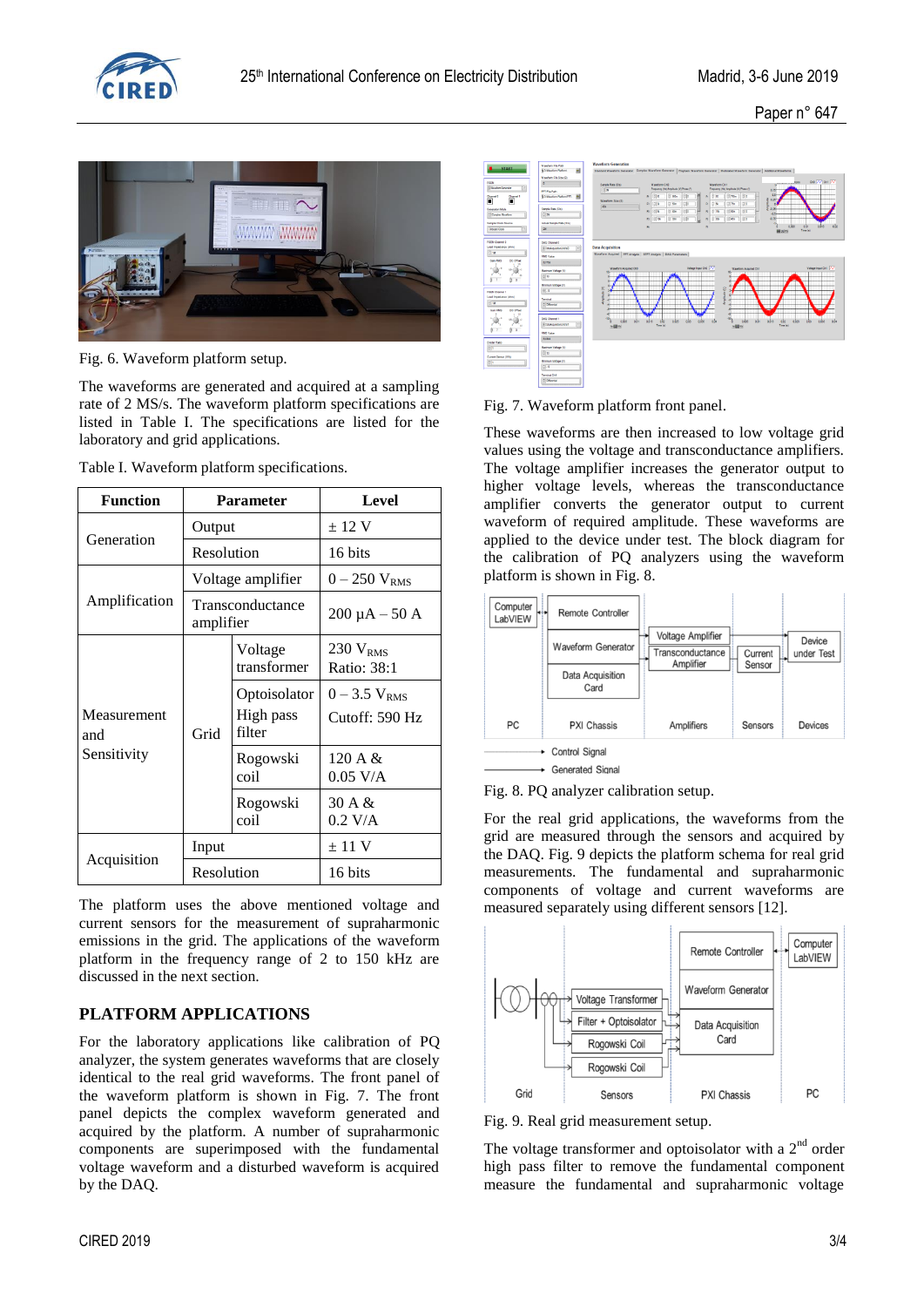

Paper n° 647



Fig. 6. Waveform platform setup.

The waveforms are generated and acquired at a sampling rate of 2 MS/s. The waveform platform specifications are listed in Table I. The specifications are listed for the laboratory and grid applications.

|  |  |  | Table I. Waveform platform specifications. |
|--|--|--|--------------------------------------------|
|--|--|--|--------------------------------------------|

| <b>Function</b>    | <b>Parameter</b>              |                                     | Level                               |
|--------------------|-------------------------------|-------------------------------------|-------------------------------------|
|                    | Output                        |                                     | $\pm$ 12 V                          |
| Generation         | Resolution                    |                                     | 16 bits                             |
|                    | Voltage amplifier             |                                     | $0 - 250 V_{RMS}$                   |
| Amplification      | Transconductance<br>amplifier |                                     | $200 \mu A - 50 A$                  |
|                    | Grid                          | Voltage<br>transformer              | 230 $V_{RMS}$<br>Ratio: 38:1        |
| Measurement<br>and |                               | Optoisolator<br>High pass<br>filter | $0 - 3.5 V_{RMS}$<br>Cutoff: 590 Hz |
| Sensitivity        |                               | Rogowski<br>coil                    | 120 A $&$<br>$0.05$ V/A             |
|                    |                               | Rogowski<br>coil                    | 30A &<br>$0.2$ V/A                  |
|                    | Input                         |                                     | $\pm$ 11 V                          |
| Acquisition        | Resolution                    |                                     | 16 bits                             |

The platform uses the above mentioned voltage and current sensors for the measurement of supraharmonic emissions in the grid. The applications of the waveform platform in the frequency range of 2 to 150 kHz are discussed in the next section.

## **PLATFORM APPLICATIONS**

For the laboratory applications like calibration of PQ analyzer, the system generates waveforms that are closely identical to the real grid waveforms. The front panel of the waveform platform is shown in Fig. 7. The front panel depicts the complex waveform generated and acquired by the platform. A number of supraharmonic components are superimposed with the fundamental voltage waveform and a disturbed waveform is acquired by the DAQ.



Fig. 7. Waveform platform front panel.

These waveforms are then increased to low voltage grid values using the voltage and transconductance amplifiers. The voltage amplifier increases the generator output to higher voltage levels, whereas the transconductance amplifier converts the generator output to current waveform of required amplitude. These waveforms are applied to the device under test. The block diagram for the calibration of PQ analyzers using the waveform platform is shown in Fig. 8.



Fig. 8. PQ analyzer calibration setup.

For the real grid applications, the waveforms from the grid are measured through the sensors and acquired by the DAQ. Fig. 9 depicts the platform schema for real grid measurements. The fundamental and supraharmonic components of voltage and current waveforms are measured separately using different sensors [12].



Fig. 9. Real grid measurement setup.

The voltage transformer and optoisolator with a  $2<sup>nd</sup>$  order high pass filter to remove the fundamental component measure the fundamental and supraharmonic voltage